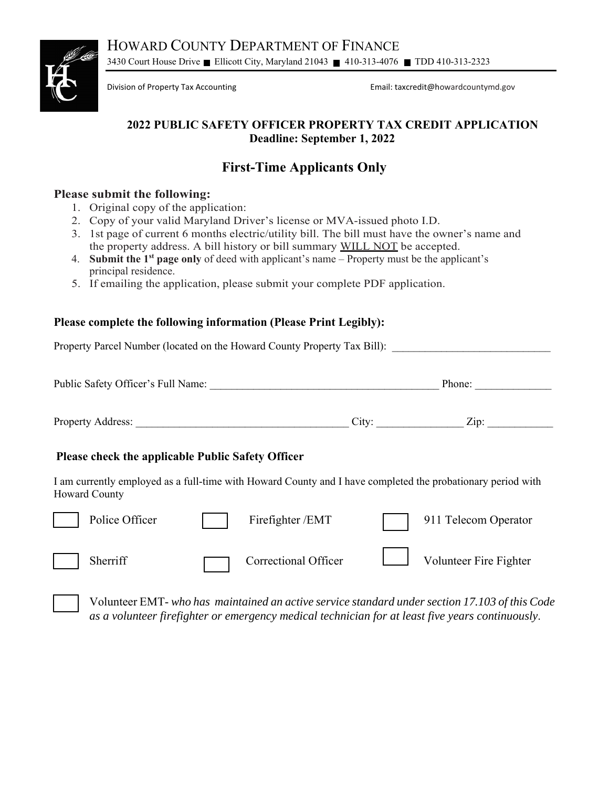HOWARD COUNTY DEPARTMENT OF FINANCE 3430 Court House Drive Ellicott City, Maryland 21043 410-313-4076 TDD 410-313-2323



Division of Property Tax Accounting Email: taxcredit@howardcountymd.gov

## **2022 PUBLIC SAFETY OFFICER PROPERTY TAX CREDIT APPLICATION Deadline: September 1, 2022**

# **First-Time Applicants Only**

### **Please submit the following:**

- 1. Original copy of the application:
- 2. Copy of your valid Maryland Driver's license or MVA-issued photo I.D.
- 3. 1st page of current 6 months electric/utility bill. The bill must have the owner's name and the property address. A bill history or bill summary WILL NOT be accepted.
- 4. **Submit the 1st page only** of deed with applicant's name Property must be the applicant's principal residence.
- 5. If emailing the application, please submit your complete PDF application.

### **Please complete the following information (Please Print Legibly):**

Property Parcel Number (located on the Howard County Property Tax Bill):

| Public Safety Officer's Full Name: | Phone: |                    |  |
|------------------------------------|--------|--------------------|--|
|                                    |        |                    |  |
| <b>Property Address:</b>           | City:  | $\overline{Zip: }$ |  |

#### **Please check the applicable Public Safety Officer**

I am currently employed as a full-time with Howard County and I have completed the probationary period with Howard County

| Police Officer | Firefighter /EMT            | 911 Telecom Operator   |
|----------------|-----------------------------|------------------------|
| Sherriff       | <b>Correctional Officer</b> | Volunteer Fire Fighter |

Volunteer EMT- *who has maintained an active service standard under section 17.103 of this Code as a volunteer firefighter or emergency medical technician for at least five years continuously*.